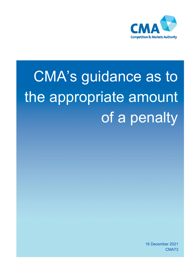

# CMA's guidance as to the appropriate amount of a penalty

16 December 2021 CMA73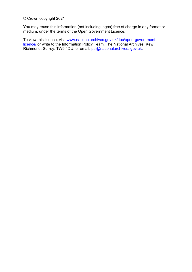© Crown copyright 2021

You may reuse this information (not including logos) free of charge in any format or medium, under the terms of the Open Government Licence.

To view this licence, visit [www.nationalarchives.gov.uk/doc/open-government](http://www.nationalarchives.gov.uk/doc/open-government-licence/)[licence/](http://www.nationalarchives.gov.uk/doc/open-government-licence/) or write to the Information Policy Team, The National Archives, Kew, Richmond, Surrey, TW9 4DU, or email: [psi@nationalarchives.](mailto:psi@nationalarchives.gsi.gov.uk) gov.uk.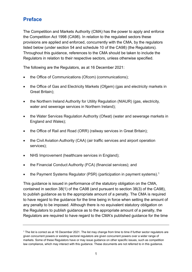# **Preface**

The Competition and Markets Authority (CMA) has the power to apply and enforce the Competition Act 1998 (CA98). In relation to the regulated sectors these provisions are applied and enforced, concurrently with the CMA, by the regulators listed below (under section 54 and schedule 10 of the CA98) (the Regulators). Throughout this guidance, references to the CMA should be taken to include the Regulators in relation to their respective sectors, unless otherwise specified.

The following are the Regulators, as at 16 December 2021:

- the Office of Communications (Ofcom) (communications);
- the Office of Gas and Electricity Markets (Ofgem) (gas and electricity markets in Great Britain);
- the Northern Ireland Authority for Utility Regulation (NIAUR) (gas, electricity, water and sewerage services in Northern Ireland);
- the Water Services Regulation Authority (Ofwat) (water and sewerage markets in England and Wales);
- the Office of Rail and Road (ORR) (railway services in Great Britain);
- the Civil Aviation Authority (CAA) (air traffic services and airport operation services);
- NHS Improvement (healthcare services in England);
- the Financial Conduct Authority (FCA) (financial services); and
- the Payment Systems Regulator (PSR) (participation in payment systems).<sup>1</sup>

This guidance is issued in performance of the statutory obligation on the CMA, contained in section 38(1) of the CA98 (and pursuant to section 38(3) of the CA98), to publish guidance as to the appropriate amount of a penalty. The CMA is required to have regard to the guidance for the time being in force when setting the amount of any penalty to be imposed. Although there is no equivalent statutory obligation on the Regulators to publish guidance as to the appropriate amount of a penalty, the Regulators are required to have regard to the CMA's published guidance for the time

<sup>1</sup> The list is correct as at 16 December 2021. The list may change from time to time if further sector regulators are given concurrent powers or existing sectoral regulators are given concurrent powers over a wider range of markets. Some of these Regulators have or may issue guidance on other specific issues, such as competition law compliance, which may interact with this guidance. These documents are not referred to in this guidance.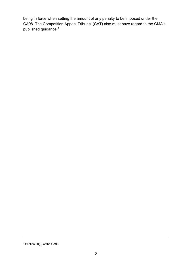being in force when setting the amount of any penalty to be imposed under the CA98. The Competition Appeal Tribunal (CAT) also must have regard to the CMA's published guidance.<sup>2</sup>

<sup>2</sup> Section 38(8) of the CA98.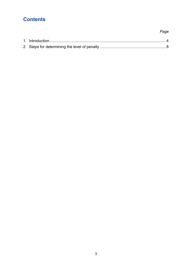# **Contents**

# 

Page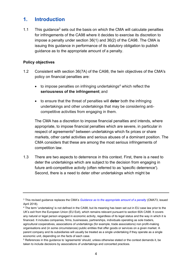# <span id="page-5-0"></span>**1. Introduction**

1.1 This quidance<sup>3</sup> sets out the basis on which the CMA will calculate penalties for infringements of the CA98 where it decides to exercise its discretion to impose a penalty under section 36(1) and 36(2) of the CA98. The CMA is issuing this guidance in performance of its statutory obligation to publish guidance as to the appropriate amount of a penalty.

## **Policy objectives**

- 1.2 Consistent with section 36(7A) of the CA98, the twin objectives of the CMA's policy on financial penalties are:
	- to impose penalties on infringing undertakings<sup>4</sup> which reflect the **seriousness of the infringement**; and
	- to ensure that the threat of penalties will **deter** both the infringing undertakings and other undertakings that may be considering anticompetitive activities from engaging in them.

The CMA has a discretion to impose financial penalties and intends, where appropriate, to impose financial penalties which are severe, in particular in respect of agreements<sup>5</sup> between undertakings which fix prices or share markets, other cartel activities and serious abuses of a dominant position. The CMA considers that these are among the most serious infringements of competition law.

1.3 There are two aspects to deterrence in this context. First, there is a need to deter the undertakings which are subject to the decision from engaging in future anti-competitive activity (often referred to as 'specific deterrence'). Second, there is a need to deter other undertakings which might be

<sup>4</sup> The term 'undertaking' is not defined in the CA98, but its meaning has been set out in EU case law prior to the UK's exit from the European Union (EU Exit), which remains relevant pursuant to section 60A CA98. It covers any natural or legal person engaged in economic activity, regardless of its legal status and the way in which it is financed. It includes companies, firms, businesses, partnerships, individuals operating as sole traders, agricultural cooperatives, associations of undertakings (for example, trade associations) non profit-making organisations and (in some circumstances) public entities that offer goods or services on a given market. A parent company and its subsidiaries will usually be treated as a single undertaking if they operate as a single economic unit, depending on the facts of each case.

<sup>3</sup> This revised guidance replaces the CMA's *[Guidance as to the appropriate amount of a penalty](https://www.gov.uk/government/publications/appropriate-ca98-penalty-calculation)* (CMA73, issued April 2018).

<sup>5</sup> References in this guidance to 'agreements' should, unless otherwise stated or the context demands it, be taken to include decisions by associations of undertakings and concerted practices.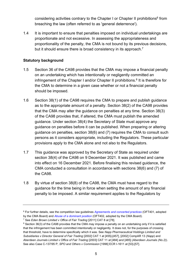considering activities contrary to the Chapter I or Chapter II prohibitions<sup>6</sup> from breaching the law (often referred to as 'general deterrence').

1.4 It is important to ensure that penalties imposed on individual undertakings are proportionate and not excessive. In assessing the appropriateness and proportionality of the penalty, the CMA is not bound by its previous decisions, but it should ensure there is broad consistency in its approach.<sup>7</sup>

# **Statutory background**

- 1.5 Section 36 of the CA98 provides that the CMA may impose a financial penalty on an undertaking which has intentionally or negligently committed an infringement of the Chapter I and/or Chapter II prohibitions.<sup>8</sup> It is therefore for the CMA to determine in a given case whether or not a financial penalty should be imposed.
- 1.6 Section 38(1) of the CA98 requires the CMA to prepare and publish guidance as to the appropriate amount of a penalty. Section 38(2) of the CA98 provides that the CMA may alter the guidance on penalties at any time. Section 38(3) of the CA98 provides that, if altered, the CMA must publish the amended guidance. Under section 38(4) the Secretary of State must approve any guidance on penalties before it can be published. When preparing or altering guidance on penalties, section 38(6) and (7) requires the CMA to consult such persons as it considers appropriate, including the Regulators. These particular provisions apply to the CMA alone and not also to the Regulators.
- 1.7 This guidance was approved by the Secretary of State as required under section 38(4) of the CA98 on 9 December 2021. It was published and came into effect on 16 December 2021. Before finalising this revised guidance, the CMA conducted a consultation in accordance with sections 38(6) and (7) of the CA98.
- 1.8 By virtue of section 38(8) of the CA98, the CMA must have regard to the guidance for the time being in force when setting the amount of any financial penalty to be imposed. A similar requirement applies to the Regulators by

<sup>6</sup> For further details, see the competition law guidelines *[Agreements and concerted practices](https://www.gov.uk/government/publications/agreements-and-concerted-practices-understanding-competition-law)* (OFT401, adopted by the CMA Board) and *[Abuse of a dominant position](https://www.gov.uk/government/publications/abuse-of-a-dominant-position)* (OFT402, adopted by the CMA Board).

<sup>7</sup> See *Eden Brown Limited v Office of Fair Trading* [2011] CAT 8 at [78].

<sup>&</sup>lt;sup>8</sup> Section 36(3) of the CA98 provides that the CMA may impose a penalty on an undertaking only if it is satisfied that the infringement has been committed intentionally or negligently. It does not, for the purposes of crossing that threshold, have to determine specifically which it was. See *Napp Pharmaceutical Holdings Limited and Subsidiaries v Director General of Fair Trading* [2002] CAT 1 at [455]-[457], [2002] CompAR 13 (*Napp*) and *Aberdeen Journals Limited v Office of Fair Trading* [2003] CAT 11 at [484] and [485] (*Aberdeen Journals (No.2)*). See also Case C-137/95 P, *SPO and Others v Commission* [1996] ECR I-1611 at [53]-[57].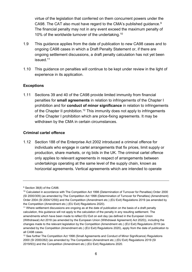<span id="page-7-0"></span>virtue of the legislation that conferred on them concurrent powers under the CA98. The CAT also must have regard to the CMA's published guidance.<sup>9</sup> The financial penalty may not in any event exceed the maximum penalty of 10% of the worldwide turnover of the undertaking.<sup>10</sup>

- 1.9 This guidance applies from the date of publication to new CA98 cases and to ongoing CA98 cases in which a Draft Penalty Statement or, if there are ongoing settlement discussions, a draft penalty calculation has not yet been issued. 11
- 1.10 This guidance on penalties will continue to be kept under review in the light of experience in its application.

# **Exceptions**

1.11 Sections 39 and 40 of the CA98 provide limited immunity from financial penalties for **small agreements** in relation to infringements of the Chapter I prohibition and for **conduct of minor significance** in relation to infringements of the Chapter II prohibition. <sup>12</sup> This immunity does not apply to infringements of the Chapter I prohibition which are price-fixing agreements. It may be withdrawn by the CMA in certain circumstances.

# **Criminal cartel offence**

1.12 Section 188 of the Enterprise Act 2002 introduced a criminal offence for individuals who engage in cartel arrangements that fix prices, limit supply or production, share markets, or rig bids in the UK. The criminal cartel offence only applies to relevant agreements in respect of arrangements between undertakings operating at the same level of the supply chain, known as horizontal agreements. Vertical agreements which are intended to operate

<sup>9</sup> Section 38(8) of the CA98.

<sup>10</sup> Calculated in accordance with The Competition Act 1998 (Determination of Turnover for Penalties) Order 2000 (SI 2000/309) (as amended by The Competition Act 1998 (Determination of Turnover for Penalties) (Amendment) Order 2004 (SI 2004/1259)) and the Competition (Amendment etc.) (EU Exit) Regulations 2019 (as amended by the Competition (Amendment etc.) (EU Exit) Regulations 2020).

<sup>&</sup>lt;sup>11</sup> Where settlement discussions are ongoing as at the date of publication on the basis of a draft penalty calculation, this guidance will not apply to the calculation of the penalty in any resulting settlement. The amendments which have been made to reflect EU Exit on exit day (as defined in the European Union (Withdrawal) Act 2018 (as amended by the European Union (Withdrawal Agreement) Act 2020)), including the changes made to the relevant legislation by the Competition (Amendment etc.) (EU Exit) Regulations 2019 (as amended by the Competition (Amendment etc.) (EU Exit) Regulations 2020), apply from the date of publication to all CA98 cases.

<sup>&</sup>lt;sup>12</sup> See further The Competition Act 1998 (Small Agreements and Conduct of Minor Significance) Regulations 2000 (SI 2000/262) (as amended by The Competition (Amendment etc.) (EU Exit) Regulations 2019 (SI 2019/93)) and the Competition (Amendment etc.) (EU Exit) Regulations 2020.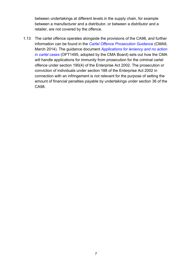between undertakings at different levels in the supply chain, for example between a manufacturer and a distributor, or between a distributor and a retailer, are not covered by the offence.

<span id="page-8-0"></span>1.13 The cartel offence operates alongside the provisions of the CA98, and further information can be found in the *[Cartel Offence Prosecution Guidance](https://www.gov.uk/government/publications/cartel-offence-prosecution-guidance)* (CMA9, March 2014). The guidance document *[Applications for leniency and no action](https://www.gov.uk/government/publications/leniency-and-no-action-applications-in-cartel-cases)  [in cartel cases](https://www.gov.uk/government/publications/leniency-and-no-action-applications-in-cartel-cases)* (OFT1495, adopted by the CMA Board) sets out how the CMA will handle applications for immunity from prosecution for the criminal cartel offence under section 190(4) of the Enterprise Act 2002. The prosecution or conviction of individuals under section 188 of the Enterprise Act 2002 in connection with an infringement is not relevant for the purpose of setting the amount of financial penalties payable by undertakings under section 36 of the CA98.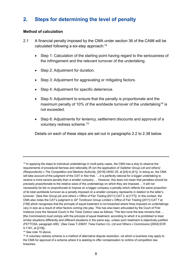# <span id="page-9-0"></span>**2. Steps for determining the level of penalty**

### **Method of calculation**

- 2.1 A financial penalty imposed by the CMA under section 36 of the CA98 will be calculated following a six-step approach:<sup>13</sup>
	- Step 1: Calculation of the starting point having regard to the seriousness of the infringement and the relevant turnover of the undertaking.
	- Step 2: Adjustment for duration.
	- Step 3: Adjustment for aggravating or mitigating factors.
	- Step 4: Adjustment for specific deterrence.
	- Step 5: Adjustment to ensure that the penalty is proportionate and the maximum penalty of 10% of the worldwide turnover of the undertaking<sup>14</sup> is not exceeded.
	- Step 6: Adjustments for leniency, settlement discounts and approval of a voluntary redress scheme. 15

Details on each of these steps are set out in paragraphs [2.2](#page-10-0) to [2.38](#page-21-0) below.

<sup>13</sup> In applying the steps to individual undertakings in multi-party cases, the CMA has a duty to observe the requirements of procedural fairness and rationality (R (on the application of *Gallaher Group Ltd and others) (Respondents) v The Competition and Markets Authority,* [2018] UKSC 25, at [24] to [41]). In doing so, the CMA will take account of the judgment of the CAT in *Kier* that, '…it is perfectly rational for a bigger undertaking to receive a more severe penalty than a smaller company … However, this does not mean that penalties should be precisely proportionate to the relative sizes of the undertakings on which they are imposed … it will not necessarily be fair or proportionate to impose on a bigger company a penalty which reflects the same proportion of its total worldwide turnover as a penalty imposed on a smaller company represents in relation to the latter's turnover.' (See *Kier Group plc and others v Office of Fair Trading* [2011] CAT 3, at [177]). In this context, the CMA also notes the CAT's judgment in *GF Tomlinson Group Limited v Office of Fair Trading* [2011] CAT 7 at [158] which recognises that the principle of equal treatment is not breached where fines imposed on undertakings vary in size as a result of other factors coming into play. This has also been articulated by the Court of First Instance (now the General Court) in the *Tokai Carbon* case as follows: 'The fact none the less remains that … [the Commission] must comply with the principle of equal treatment, according to which it is prohibited to treat similar situations differently and different situations in the same way, unless such treatment is objectively justified (FETTCSA, paragraph 406).' (See Case T-236/01 *Tokai Carbon Co. Ltd and Others v Commission* [2004] ECR II-1181, at [219]).

<sup>14</sup> See not[e 10](#page-7-0) above.

<sup>&</sup>lt;sup>15</sup> A voluntary redress scheme is a method of alternative dispute resolution, via which a business may apply to the CMA for approval of a scheme where it is seeking to offer compensation to victims of competition law breaches.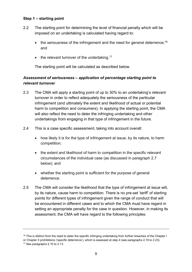### **Step 1 – starting point**

- <span id="page-10-0"></span>2.2 The starting point for determining the level of financial penalty which will be imposed on an undertaking is calculated having regard to:
	- the seriousness of the infringement and the need for general deterrence;<sup>16</sup> and
	- $\bullet$  the relevant turnover of the undertaking.<sup>17</sup>

The starting point will be calculated as described below.

# *Assessment of seriousness – application of percentage starting point to relevant turnover*

- <span id="page-10-1"></span>2.3 The CMA will apply a starting point of up to 30% to an undertaking's relevant turnover in order to reflect adequately the seriousness of the particular infringement (and ultimately the extent and likelihood of actual or potential harm to competition and consumers). In applying the starting point, the CMA will also reflect the need to deter the infringing undertaking and other undertakings from engaging in that type of infringement in the future.
- 2.4 This is a case specific assessment, taking into account overall:
	- how likely it is for the type of infringement at issue, by its nature, to harm competition;
	- the extent and likelihood of harm to competition in the specific relevant circumstances of the individual case (as discussed in paragraph [2.7](#page-11-0) below); and
	- whether the starting point is sufficient for the purpose of general deterrence.
- 2.5 The CMA will consider the likelihood that the type of infringement at issue will, by its nature, cause harm to competition. There is no pre-set 'tariff' of starting points for different types of infringement given the range of conduct that will be encountered in different cases and to which the CMA must have regard in setting an appropriate penalty for the case in question. However, in making its assessment, the CMA will have regard to the following principles:

<sup>&</sup>lt;sup>16</sup> This is distinct from the need to deter the specific infringing undertaking from further breaches of the Chapter I

or Chapter II prohibitions ('specific deterrence'), which is assessed at step 4 (see paragraphs [2.19](#page-16-0) to [2.23\)](#page-17-0).

<sup>&</sup>lt;sup>17</sup> See paragraph[s 2.10](#page-12-0) t[o 2.13.](#page-13-0)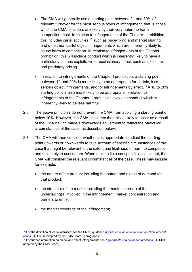- The CMA will generally use a starting point between 21 and 30% of relevant turnover for the most serious types of infringement, that is, those which the CMA considers are likely by their very nature to harm competition most. In relation to infringements of the Chapter I prohibition, this includes cartel activities,  $18$  such as price-fixing and market sharing. and other, non-cartel object infringements which are inherently likely to cause harm to competition. In relation to infringements of the Chapter II prohibition, this will include conduct which is inherently likely to have a particularly serious exploitative or exclusionary effect, such as excessive and predatory pricing.
- In relation to infringements of the Chapter I prohibition, a starting point between 10 and 20% is more likely to be appropriate for certain, less serious object infringements, and for infringements by effect.<sup>19</sup> A 10 to 20% starting point is also more likely to be appropriate in relation to infringements of the Chapter II prohibition involving conduct which is inherently likely to be less harmful.
- 2.6 The above principles do not prevent the CMA from applying a starting point of below 10%. However, the CMA considers that this is likely to occur as a result of the CMA having made a downwards adjustment to reflect the particular circumstances of the case, as described below.
- <span id="page-11-0"></span>2.7 The CMA will then consider whether it is appropriate to adjust the starting point upwards or downwards to take account of specific circumstances of the case that might be relevant to the extent and likelihood of harm to competition and ultimately to consumers. When making its case-specific assessment, the CMA will consider the relevant circumstances of the case. These may include, for example:
	- the nature of the product including the nature and extent of demand for that product;
	- the structure of the market including the market share(s) of the undertaking(s) involved in the infringement, market concentration and barriers to entry;
	- the market coverage of the infringement;

<sup>18</sup> For the definition of 'cartel activities' see the CMA's guidance *[Applications for leniency and no-action in cartel](https://www.gov.uk/government/publications/leniency-and-no-action-applications-in-cartel-cases)  [cases](https://www.gov.uk/government/publications/leniency-and-no-action-applications-in-cartel-cases)* (OFT1495, adopted by the CMA Board), paragraph 2.2.

<sup>19</sup> For further information on object and effect infringements see *[Agreements and concerted practices](https://www.gov.uk/government/publications/agreements-and-concerted-practices-understanding-competition-law)* (OFT401, adopted by the CMA Board).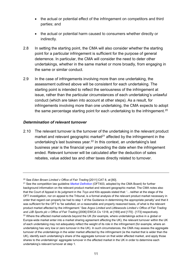- the actual or potential effect of the infringement on competitors and third parties; and
- the actual or potential harm caused to consumers whether directly or indirectly.
- 2.8 In setting the starting point, the CMA will also consider whether the starting point for a particular infringement is sufficient for the purpose of general deterrence. In particular, the CMA will consider the need to deter other undertakings, whether in the same market or more broadly, from engaging in the same or similar conduct.
- 2.9 In the case of infringements involving more than one undertaking, the assessment outlined above will be consistent for each undertaking. The starting point is intended to reflect the seriousness of the infringement at issue, rather than the particular circumstances of each undertaking's unlawful conduct (which are taken into account at other steps). As a result, for infringements involving more than one undertaking, the CMA expects to adopt the same percentage starting point for each undertaking to the infringement.<sup>20</sup>

# *Determination of relevant turnover*

<span id="page-12-0"></span>2.10 The relevant turnover is the turnover of the undertaking in the relevant product market and relevant geographic market<sup>21</sup> affected by the infringement in the undertaking's last business year.<sup>22</sup> In this context, an undertaking's last business year is the financial year preceding the date when the infringement ended. Relevant turnover will be calculated after the deduction of sales rebates, value added tax and other taxes directly related to turnover.

<sup>20</sup> See *Eden Brown Limited v Office of Fair Trading* [2011] CAT 8, at [80].

<sup>21</sup> See the competition law guideline *[Market Definition](https://www.gov.uk/government/publications/market-definition)* (OFT403, adopted by the CMA Board) for further background information on the relevant product market and relevant geographic market. The CMA notes also that the Court of Appeal in its judgment in the *Toys and Kits* appeals stated that: '…neither at the stage of the OFT investigation, nor on appeal to the Tribunal, is a formal analysis of the relevant product market necessary in order that regard can properly be had to step 1 of the Guidance in determining the appropriate penalty' and that it was sufficient for the OFT to 'be satisfied, on a reasonable and properly reasoned basis, of what is the relevant product market affected by the infringement.' See *Argos Limited and Littlewoods Limited v Office of Fair Trading and JJB Sports plc v Office of Fair Trading* [2006] EWCA Civ 1318, at [169] and [170] - [173] respectively.  $22$  Where the affected market extends beyond the UK (for example, where undertakings active in a global or Europe-wide market enter into a market sharing agreement affecting the UK), the relevant turnover within the UK of each undertaking may not adequately reflect the weight of its role in the infringement (for example, where an undertaking has very low or zero turnover in the UK). In such circumstances, the CMA may assess the aggregate turnover of the undertakings in the wider market affected by the infringement (ie the market that is wider than the UK), identify each undertaking's share of the aggregate turnover on that wider affected market, and apply those shares to the undertakings' aggregate turnover in the affected market in the UK in order to determine each undertaking's relevant turnover at step 1.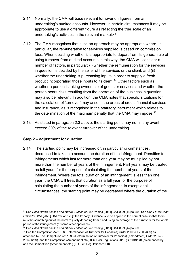- 2.11 Normally, the CMA will base relevant turnover on figures from an undertaking's audited accounts. However, in certain circumstances it may be appropriate to use a different figure as reflecting the true scale of an undertaking's activities in the relevant market.<sup>23</sup>
- 2.12 The CMA recognises that such an approach may be appropriate where, in particular, the remuneration for services supplied is based on commission fees. When deciding whether it is appropriate to depart from its general rule of using turnover from audited accounts in this way, the CMA will consider a number of factors, in particular: (i) whether the remuneration for the services in question is decided by the seller of the services or the client, and (ii) whether the undertaking is purchasing inputs in order to supply a fresh product incorporating those inputs to its client.<sup>24</sup> Other factors such as whether a person is taking ownership of goods or services and whether the person bears risks resulting from the operation of the business in question may also be relevant. In addition, the CMA notes that specific situations for the calculation of 'turnover' may arise in the areas of credit, financial services and insurance, as is recognised in the statutory instrument which relates to the determination of the maximum penalty that the CMA may impose.<sup>25</sup>
- <span id="page-13-0"></span>2.13 As stated in paragraph [2.3](#page-10-1) above, the starting point may not in any event exceed 30% of the relevant turnover of the undertaking.

# **Step 2 – adjustment for duration**

2.14 The starting point may be increased or, in particular circumstances, decreased to take into account the duration of the infringement. Penalties for infringements which last for more than one year may be multiplied by not more than the number of years of the infringement. Part years may be treated as full years for the purpose of calculating the number of years of the infringement. Where the total duration of an infringement is less than one year, the CMA will treat that duration as a full year for the purpose of calculating the number of years of the infringement. In exceptional circumstances, the starting point may be decreased where the duration of the

<sup>23</sup> See *Eden Brown Limited and others v Office of Fair Trading* [2011] CAT 8, at [44] to [59]. See also *FP McCann Limited* v CMA [2020] CAT 28, at [179]: 'the Penalty Guidance is to be applied in the normal case so that there must be something out of the norm to justify departing from it and using an average of the turnovers for the whole period of the infringement (or some other approach)'.

<sup>24</sup> See *Eden Brown Limited and others v Office of Fair Trading* [2011] CAT 8, at [44] to [59].

<sup>&</sup>lt;sup>25</sup> See the Competition Act 1998 (Determination of Turnover for Penalties) Order 2000 (SI 2000/309) as amended by The Competition Act 1998 (Determination of Turnover for Penalties) (Amendment) Order 2004 (SI 2004/1259), and the Competition (Amendment etc.) (EU Exit) Regulations 2019 (SI 2019/93) (as amended by and the Competition (Amendment etc.) (EU Exit) Regulations 2020).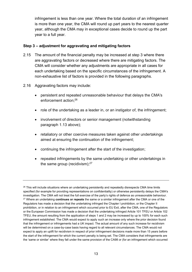infringement is less than one year. Where the total duration of an infringement is more than one year, the CMA will round up part years to the nearest quarter year, although the CMA may in exceptional cases decide to round up the part year to a full year.

## **Step 3 – adjustment for aggravating and mitigating factors**

- 2.15 The amount of the financial penalty may be increased at step 3 where there are aggravating factors or decreased where there are mitigating factors. The CMA will consider whether any adjustments are appropriate in all cases for each undertaking based on the specific circumstances of the infringement. A non-exhaustive list of factors is provided in the following paragraphs.
- 2.16 Aggravating factors may include:
	- persistent and repeated unreasonable behaviour that delays the CMA's enforcement action; 26
	- role of the undertaking as a leader in, or an instigator of, the infringement;
	- involvement of directors or senior management (notwithstanding paragraph [1.13](#page-8-0) above);
	- retaliatory or other coercive measures taken against other undertakings aimed at ensuring the continuation of the infringement;
	- continuing the infringement after the start of the investigation;
	- repeated infringements by the same undertaking or other undertakings in the same group (recidivism);<sup>27</sup>

<sup>&</sup>lt;sup>26</sup> This will include situations where an undertaking persistently and repeatedly disrespects CMA time limits specified (for example for providing representations on confidentiality) or otherwise persistently delays the CMA's investigation. The CMA will not treat the full exercise of the party's rights of defence as unreasonable behaviour. <sup>27</sup> Where an undertaking **continues or repeats** the same or a similar infringement after the CMA or one of the Regulators has made a decision that the undertaking infringed the Chapter I prohibition, or the Chapter II prohibition, or in relation to an infringement which occurred prior to EU Exit, after the CMA, one of the Regulators or the European Commission has made a decision that the undertaking infringed Article 101 TFEU or Article 102 TFEU, the amount resulting from the application of steps 1 and 2 may be increased by up to 100% for each such infringement established. The CMA would expect to apply such an increase only where the prior decision found that the infringement or infringements had a UK impact. The actual amount of any such increase for recidivism will be determined on a case-by-case basis having regard to all relevant circumstances. The CMA would not expect to apply an uplift for recidivism in respect of prior infringement decisions made more than 15 years before the start of the infringement for which the current penalty is being set. The CMA considers that infringements are the 'same or similar' where they fall under the same provision of the CA98 or (for an infringement which occurred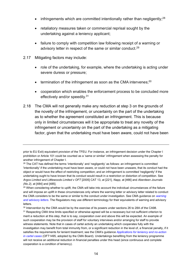- <span id="page-15-0"></span>• infringements which are committed intentionally rather than negligently;<sup>28</sup>
- retaliatory measures taken or commercial reprisal sought by the undertaking against a leniency applicant;
- failure to comply with competition law following receipt of a warning or advisory letter in respect of the same or similar conduct.<sup>29</sup>
- 2.17 Mitigating factors may include:
	- role of the undertaking, for example, where the undertaking is acting under severe duress or pressure;
	- $\bullet$  termination of the infringement as soon as the CMA intervenes;  $^{30}$
	- cooperation which enables the enforcement process to be concluded more effectively and/or speedily.<sup>31</sup>
- 2.18 The CMA will not generally make any reduction at step 3 on the grounds of the novelty of the infringement, or uncertainty on the part of the undertaking as to whether the agreement constituted an infringement. This is because only in limited circumstances will it be appropriate to treat any novelty of the infringement or uncertainty on the part of the undertaking as a mitigating factor, given that the undertaking must have been aware, could not have been

prior to EU Exit) equivalent provision of the TFEU. For instance, an infringement decision under the Chapter I prohibition or Article 101 could be counted as a 'same or similar' infringement when assessing the penalty for another infringement of Chapter I.

<sup>&</sup>lt;sup>28</sup> The CAT has defined the terms 'intentionally' and 'negligently' as follows: an infringement is committed 'intentionally' if the undertaking must have been aware, or could not have been unaware, that its conduct had the object or would have the effect of restricting competition; and an infringement is committed 'negligently' if the undertaking ought to have known that its conduct would result in a restriction or distortion of competition. See *Argos Limited and Littlewoods Limited v OFT* [2005] CAT 13, at [221], *Napp,* at [466] and *Aberdeen Journals (No.2),* at [484] and [485].

<sup>&</sup>lt;sup>29</sup> When considering whether to uplift, the CMA will take into account the individual circumstances of the failure and will impose an uplift in these circumstances only where the warning letter or advisory letter related to conduct the CMA considers to be the same or similar to the conduct under investigation. See CMA guidance on *[warning](https://www.gov.uk/guidance/warning-and-advisory-letters-essential-information-for-businesses)  [and advisory letters.](https://www.gov.uk/guidance/warning-and-advisory-letters-essential-information-for-businesses)* The Regulators may use different terminology for their equivalents of warning and advisory letters.

<sup>&</sup>lt;sup>30</sup> Intervention by the CMA would be by the exercise of its powers under sections 26 to 28A of the CA98.

<sup>&</sup>lt;sup>31</sup> Respecting CMA time limits specified or otherwise agreed will be a necessary but not sufficient criterion to merit a reduction at this step, that is to say, cooperation over and above this will be expected. An example of such cooperation may be the provision of staff for voluntary interviews and/or arranging for staff to provide witness statements. Note that in cases of cartel activity an undertaking which cooperates fully with the investigation may benefit from total immunity from, or a significant reduction in the level of, a financial penalty, if it satisfies the requirements for lenient treatment; see the CMA's guidance *[Applications for leniency and no-action](https://www.gov.uk/government/publications/leniency-and-no-action-applications-in-cartel-cases)  [in cartel cases](https://www.gov.uk/government/publications/leniency-and-no-action-applications-in-cartel-cases)* (OFT1495, adopted by the CMA Board). Undertakings benefiting from the leniency programme will not receive an additional reduction in financial penalties under this head (since continuous and complete cooperation is a condition of leniency).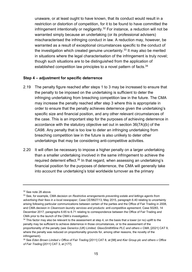unaware, or at least ought to have known, that its conduct would result in a restriction or distortion of competition, for it to be found to have committed the infringement intentionally or negligently.<sup>32</sup> For instance, a reduction will not be warranted simply because an undertaking (or its professional advisers) mischaracterised the infringing conduct in law. A reduction may, however, be warranted as a result of exceptional circumstances specific to the conduct of the investigation which created genuine uncertainty. $33$  It may also be merited in situations where the legal characterisation of the infringement is truly novel; though such situations are to be distinguished from the application of established competition law principles to a novel pattern of facts.<sup>34</sup>

#### **Step 4 – adjustment for specific deterrence**

- <span id="page-16-0"></span>2.19 The penalty figure reached after steps 1 to 3 may be increased to ensure that the penalty to be imposed on the undertaking is sufficient to deter the infringing undertaking from breaching competition law in the future. The CMA may increase the penalty reached after step 3 where this is appropriate in order to ensure that the penalty achieves deterrence given the undertaking's specific size and financial position, and any other relevant circumstances of the case. This is an important step for the purposes of achieving deterrence in accordance with the statutory objective set out in section 36(7A)(b) of the CA98. Any penalty that is too low to deter an infringing undertaking from breaching competition law in the future is also unlikely to deter other undertakings that may be considering anti-competitive activities.
- 2.20 It will often be necessary to impose a higher penalty on a larger undertaking than a smaller undertaking involved in the same infringement to achieve the required deterrent effect.<sup>35</sup> In that regard, when assessing an undertaking's financial position for the purposes of deterrence, the CMA will generally take into account the undertaking's total worldwide turnover as the primary

<sup>32</sup> See not[e 28](#page-15-0) above.

<sup>33</sup> See, for example, CMA decision on *Restrictive arrangements preventing estate and lettings agents from advertising their fees in a local newspaper*, Case CE/9827/13, May 2015, paragraph 6.40 relating to uncertainty arising following particular communications between certain of the parties and the Office of Fair Trading in 2008, and CMA decision in *Cleanroom laundry services and products: anti-competitive agreement*, Case 50283, 14 December 2017, paragraphs 6.65 to 6.71 relating to correspondence between the Office of Fair Trading and CMA prior to the launch of the CMA's investigation.

 $34$  This factor may also be relevant to the assessment at step 4, on the basis that a lower (or no) uplift to the penalty may be sufficient to achieve deterrence in those circumstances, or to the assessment of the proportionality of the penalty (see *Generics (UK) Limited, GlaxoSmithKline PLC and others v CMA*, [2021] CAT 9, where the penalty was reduced on proportionality grounds for, among other reasons, the novelty of the infringement).

<sup>35</sup> See *Eden Brown Limited v Office of Fair Trading* [2011] CAT 8, at [98] and *Kier Group plc and others v Office of Fair Trading* [2011] CAT 3, at [177].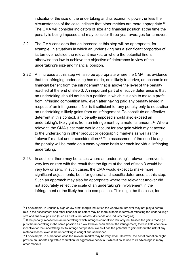indicator of the size of the undertaking and its economic power, unless the circumstances of the case indicate that other metrics are more appropriate.<sup>36</sup> The CMA will consider indicators of size and financial position at the time the penalty is being imposed and may consider three-year averages for turnover.

- 2.21 The CMA considers that an increase at this step will be appropriate, for example, in situations in which an undertaking has a significant proportion of its turnover outside the relevant market, or where the potential fine is otherwise too low to achieve the objective of deterrence in view of the undertaking's size and financial position.
- 2.22 An increase at this step will also be appropriate where the CMA has evidence that the infringing undertaking has made, or is likely to derive, an economic or financial benefit from the infringement that is above the level of the penalty reached at the end of step 3. An important part of effective deterrence is that an undertaking should not be in a position in which it is able to make a profit from infringing competition law, even after having paid any penalty levied in respect of an infringement. Nor is it sufficient for any penalty only to neutralise an undertaking's likely gains from an infringement. To constitute an effective deterrent in this context, any penalty imposed should also exceed an undertaking's likely gains from an infringement by a material amount. <sup>37</sup> Where relevant, the CMA's estimate would account for any gain which might accrue to the undertaking in other product or geographic markets as well as the 'relevant' market under consideration.<sup>38</sup> The assessment of the need to adjust the penalty will be made on a case-by-case basis for each individual infringing undertaking.
- <span id="page-17-0"></span>2.23 In addition, there may be cases where an undertaking's relevant turnover is very low or zero with the result that the figure at the end of step 3 would be very low or zero. In such cases, the CMA would expect to make more significant adjustments, both for general and specific deterrence, at this step. Such an approach may also be appropriate where the relevant turnover did not accurately reflect the scale of an undertaking's involvement in the infringement or the likely harm to competition. This might be the case, for

<sup>&</sup>lt;sup>36</sup> For example, in unusually high or low profit margin industries the worldwide turnover may not play a central role in the assessment and other financial indicators may be more suitable in terms of reflecting the undertaking's size and financial position (such as profits, net assets, dividends and industry margins).

<sup>&</sup>lt;sup>37</sup> If the penalty imposed on an undertaking which infringes competition law only neutralises the gains made (ie puts the undertaking in the same position as it would have been absent the infringement) there is little economic incentive for the undertaking not to infringe competition law as it has the potential to gain without the risk of any material losses, even if the undertaking is caught and sanctioned.

<sup>38</sup> For example, in a predation case the relevant market may be very small. However, the act of predation might provide an undertaking with a reputation for aggressive behaviour which it could use to its advantage in many other markets.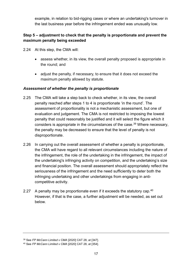example, in relation to bid-rigging cases or where an undertaking's turnover in the last business year before the infringement ended was unusually low.

# **Step 5 – adjustment to check that the penalty is proportionate and prevent the maximum penalty being exceeded**

- 2.24 At this step, the CMA will:
	- assess whether, in its view, the overall penalty proposed is appropriate in the round; and
	- adjust the penalty, if necessary, to ensure that it does not exceed the maximum penalty allowed by statute.

# *Assessment of whether the penalty is proportionate*

- 2.25 The CMA will take a step back to check whether, in its view, the overall penalty reached after steps 1 to 4 is proportionate 'in the round'. The assessment of proportionality is not a mechanistic assessment, but one of evaluation and judgement. The CMA is not restricted to imposing the lowest penalty that could reasonably be justified and it will select the figure which it considers is appropriate in the circumstances of the case.<sup>39</sup> Where necessary, the penalty may be decreased to ensure that the level of penalty is not disproportionate.
- 2.26 In carrying out the overall assessment of whether a penalty is proportionate, the CMA will have regard to all relevant circumstances including the nature of the infringement, the role of the undertaking in the infringement, the impact of the undertaking's infringing activity on competition, and the undertaking's size and financial position. The overall assessment should appropriately reflect the seriousness of the infringement and the need sufficiently to deter both the infringing undertaking and other undertakings from engaging in anticompetitive activity.
- 2.27 A penalty may be proportionate even if it exceeds the statutory cap.<sup>40</sup> However, if that is the case, a further adjustment will be needed, as set out below.

<sup>39</sup> See *FP McCann Limited v CMA* [2020] CAT 28, at [347].

<sup>40</sup> See *FP McCann Limited v CMA* [2020] CAT 28, at [354].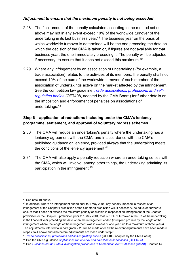## *Adjustment to ensure that the maximum penalty is not being exceeded*

- <span id="page-19-0"></span>2.28 The final amount of the penalty calculated according to the method set out above may not in any event exceed 10% of the worldwide turnover of the undertaking in its last business year. $41$  The business year on the basis of which worldwide turnover is determined will be the one preceding the date on which the decision of the CMA is taken or, if figures are not available for that business year, the one immediately preceding it. The penalty will be adjusted, if necessary, to ensure that it does not exceed this maximum. $^{42}$
- 2.29 Where any infringement by an association of undertakings (for example, a trade association) relates to the activities of its members, the penalty shall not exceed 10% of the sum of the worldwide turnover of each member of the association of undertakings active on the market affected by the infringement. See the competition law guideline *[Trade associations, professions](https://www.gov.uk/government/publications/trade-associations-and-professionalself-regulating-bodies-and-competition-law) and self[regulating bodies](https://www.gov.uk/government/publications/trade-associations-and-professionalself-regulating-bodies-and-competition-law)* (OFT408, adopted by the CMA Board) for further details on the imposition and enforcement of penalties on associations of undertakings.<sup>43</sup>

# **Step 6 – application of reductions including under the CMA's leniency programme, settlement, and approval of voluntary redress schemes**

- 2.30 The CMA will reduce an undertaking's penalty where the undertaking has a leniency agreement with the CMA, and in accordance with the CMA's published guidance on leniency, provided always that the undertaking meets the conditions of the leniency agreement.<sup>44</sup>
- 2.31 The CMA will also apply a penalty reduction where an undertaking settles with the CMA, which will involve, among other things, the undertaking admitting its participation in the infringement. 45

<sup>41</sup> See not[e 10](#page-7-0) above.

<sup>&</sup>lt;sup>42</sup> In addition, where an infringement ended prior to 1 May 2004, any penalty imposed in respect of an infringement of the Chapter I prohibition or the Chapter II prohibition will, if necessary, be adjusted further to ensure that it does not exceed the maximum penalty applicable in respect of an infringement of the Chapter I prohibition or the Chapter II prohibition prior to 1 May 2004, that is, 10% of turnover in the UK of the undertaking in the financial year preceding the date when the infringement ended (multiplied pro rata by the length of the infringement where the length of the infringement was in excess of one year, up to a maximum of three years). The adjustments referred to in paragraph [2.28](#page-19-0) will be made after all the relevant adjustments have been made in steps 2 to 4 above and also before adjustments are made under step 6.

<sup>43</sup> *[Trade associations, professions and self-regulating bodies](https://www.gov.uk/government/publications/trade-associations-and-professionalself-regulating-bodies-and-competition-law)* (OFT408, adopted by the CMA Board).

<sup>44</sup> See the CMA's guidance *[Applications for leniency and no-action in cartel cases](https://www.gov.uk/government/publications/leniency-and-no-action-applications-in-cartel-cases)* (OFT1495)*.*

<sup>45</sup> See *[Guidance on the CMA's investigation procedures in Competition Act 1998 cases](https://www.gov.uk/government/publications/guidance-on-the-cmas-investigation-procedures-in-competition-act-1998-cases)* (CMA8), Chapter 14.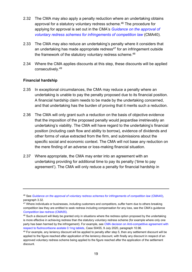- 2.32 The CMA may also apply a penalty reduction where an undertaking obtains approval for a statutory voluntary redress scheme.<sup>46</sup> The procedure for applying for approval is set out in the CMA's *[Guidance on the approval of](https://www.gov.uk/government/publications/approval-of-redress-schemes-for-competition-law-infringements)  [voluntary redress schemes for infringements of competition law](https://www.gov.uk/government/publications/approval-of-redress-schemes-for-competition-law-infringements)* (CMA40).
- 2.33 The CMA may also reduce an undertaking's penalty where it considers that an undertaking has made appropriate redress<sup>47</sup> for an infringement outside the framework of the statutory voluntary redress scheme.<sup>48</sup>
- 2.34 Where the CMA applies discounts at this step, these discounts will be applied consecutively.<sup>49</sup>

# **Financial hardship**

- 2.35 In exceptional circumstances, the CMA may reduce a penalty where an undertaking is unable to pay the penalty proposed due to its financial position. A financial hardship claim needs to be made by the undertaking concerned, and that undertaking has the burden of proving that it merits such a reduction.
- 2.36 The CMA will only grant such a reduction on the basis of objective evidence that the imposition of the proposed penalty would jeopardise irretrievably an undertaking's viability. The CMA will have regard to the undertaking's financial position (including cash flow and ability to borrow), evidence of dividends and other forms of value extracted from the firm, and submissions about the specific social and economic context. The CMA will not base any reduction on the mere finding of an adverse or loss-making financial situation.
- 2.37 Where appropriate, the CMA may enter into an agreement with an undertaking providing for additional time to pay its penalty ('time to pay agreement'). The CMA will only reduce a penalty for financial hardship in

<sup>46</sup> See *[Guidance on the approval of voluntary redress schemes for infringements of competition law](https://www.gov.uk/government/publications/approval-of-redress-schemes-for-competition-law-infringements)* (CMA40), paragraph 3.32.

<sup>&</sup>lt;sup>47</sup> Where individuals or businesses, including customers and competitors, suffer harm due to others breaking competition law they are entitled to seek redress including compensation for any loss, see the CMA's guidance *[Competition law redress](https://www.gov.uk/government/publications/competition-law-redress-cma55)* (CMA55).

<sup>48</sup> Such a discount will likely be granted only in situations where the redress option proposed by the undertaking is more effective in achieving redress than the statutory voluntary redress scheme (for example where only one party has been harmed by the infringement). For example, se[e CMA decision on Anti-competitive agreement with](https://assets.publishing.service.gov.uk/media/5f746219e90e0740c86c7611/50455_Non-confidential_Public_Decision_.pdf)  [respect to fludrocortisone acetate 0.1mg tablets,](https://assets.publishing.service.gov.uk/media/5f746219e90e0740c86c7611/50455_Non-confidential_Public_Decision_.pdf) Case 50455, 9 July 2020, paragraph 10.96.

 $49$  For example, any leniency discount will be applied to penalty after step 5, then any settlement discount will be applied to the figure reached after application of the leniency discount, with finally any discount in respect of an approved voluntary redress scheme being applied to the figure reached after the application of the settlement discount.